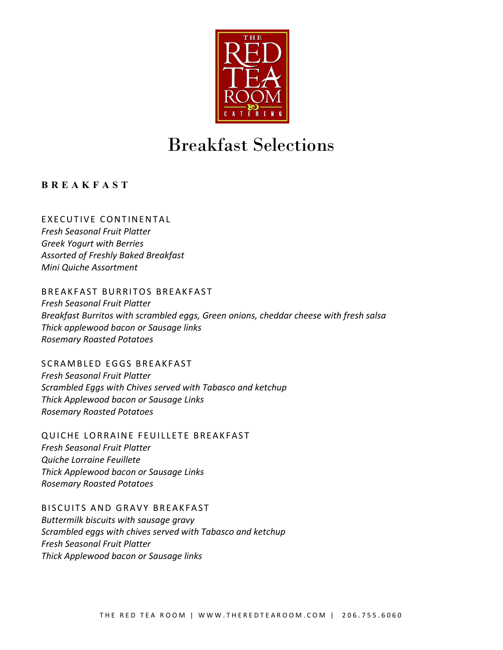

# Breakfast Selections

**BREAKFAST** 

EXECUTIVE CONTINENTAL *Fresh Seasonal Fruit Platter Greek Yogurt with Berries Assorted of Freshly Baked Breakfast Mini Quiche Assortment*

BREAKFAST BURRITOS BREAKFAST *Fresh Seasonal Fruit Platter*

*Breakfast Burritos with scrambled eggs, Green onions, cheddar cheese with fresh salsa Thick applewood bacon or Sausage links Rosemary Roasted Potatoes*

SCRAMBLED EGGS BREAKFAST *Fresh Seasonal Fruit Platter Scrambled Eggs with Chives served with Tabasco and ketchup Thick Applewood bacon or Sausage Links Rosemary Roasted Potatoes*

QUICHE LORRAINE FEUILLETE BREAKFAST *Fresh Seasonal Fruit Platter Quiche Lorraine Feuillete Thick Applewood bacon or Sausage Links Rosemary Roasted Potatoes*

BISCUITS AND GRAVY BREAKFAST

*Buttermilk biscuits with sausage gravy Scrambled eggs with chives served with Tabasco and ketchup Fresh Seasonal Fruit Platter Thick Applewood bacon or Sausage links*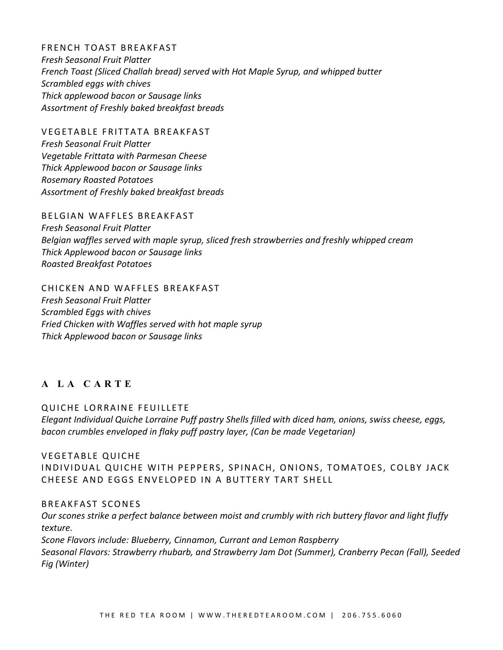FRENCH TOAST BREAKFAST *Fresh Seasonal Fruit Platter French Toast (Sliced Challah bread) served with Hot Maple Syrup, and whipped butter Scrambled eggs with chives Thick applewood bacon or Sausage links Assortment of Freshly baked breakfast breads*

VEGETABLE FRITTATA BREAKFAST *Fresh Seasonal Fruit Platter Vegetable Frittata with Parmesan Cheese Thick Applewood bacon or Sausage links Rosemary Roasted Potatoes Assortment of Freshly baked breakfast breads*

BELGIAN WAFFLES BREAKFAST *Fresh Seasonal Fruit Platter Belgian waffles served with maple syrup, sliced fresh strawberries and freshly whipped cream Thick Applewood bacon or Sausage links Roasted Breakfast Potatoes*

CHICKEN AND WAFFLES BREAKFAST *Fresh Seasonal Fruit Platter Scrambled Eggs with chives Fried Chicken with Waffles served with hot maple syrup Thick Applewood bacon or Sausage links*

# **A LA CARTE**

QUICHE LORRAINE FEUILLETE *Elegant Individual Quiche Lorraine Puff pastry Shells filled with diced ham, onions, swiss cheese, eggs, bacon crumbles enveloped in flaky puff pastry layer, (Can be made Vegetarian)*

VEGETABLE QUICHE INDIVIDUAL QUICHE WITH PEPPERS, SPINACH, ONIONS, TOMATOES, COLBY JACK CHEESE AND EGGS ENVELOPED IN A BUTTERY TART SHELL

#### BREAKFAST SCONES

*Our scones strike a perfect balance between moist and crumbly with rich buttery flavor and light fluffy texture. Scone Flavors include: Blueberry, Cinnamon, Currant and Lemon Raspberry Seasonal Flavors: Strawberry rhubarb, and Strawberry Jam Dot (Summer), Cranberry Pecan (Fall), Seeded Fig (Winter)*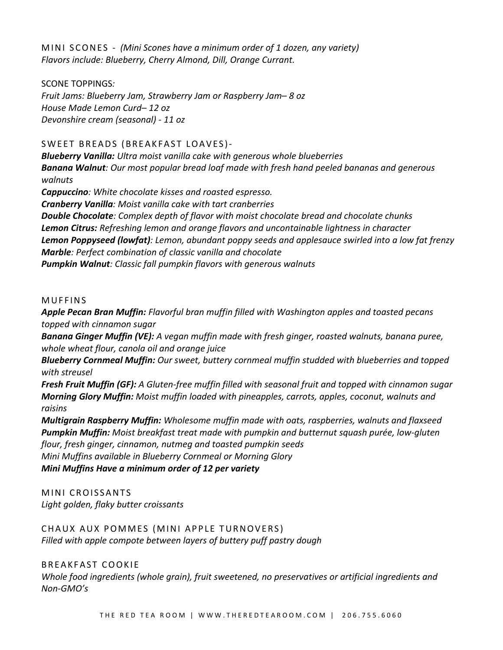MINI SCONES - *(Mini Scones have a minimum order of 1 dozen, any variety) Flavors include: Blueberry, Cherry Almond, Dill, Orange Currant.* 

## SCONE TOPPINGS*:*

*Fruit Jams: Blueberry Jam, Strawberry Jam or Raspberry Jam– 8 oz House Made Lemon Curd– 12 oz Devonshire cream (seasonal) - 11 oz*

# SWEET BREADS (BREAKFAST LOAVES)-

*Blueberry Vanilla: Ultra moist vanilla cake with generous whole blueberries Banana Walnut: Our most popular bread loaf made with fresh hand peeled bananas and generous walnuts* 

*Cappuccino: White chocolate kisses and roasted espresso. Cranberry Vanilla: Moist vanilla cake with tart cranberries Double Chocolate: Complex depth of flavor with moist chocolate bread and chocolate chunks Lemon Citrus: Refreshing lemon and orange flavors and uncontainable lightness in character Lemon Poppyseed (lowfat): Lemon, abundant poppy seeds and applesauce swirled into a low fat frenzy Marble: Perfect combination of classic vanilla and chocolate Pumpkin Walnut: Classic fall pumpkin flavors with generous walnuts*

## MUFFINS

*Apple Pecan Bran Muffin: Flavorful bran muffin filled with Washington apples and toasted pecans topped with cinnamon sugar*

*Banana Ginger Muffin (VE): A vegan muffin made with fresh ginger, roasted walnuts, banana puree, whole wheat flour, canola oil and orange juice*

*Blueberry Cornmeal Muffin: Our sweet, buttery cornmeal muffin studded with blueberries and topped with streusel*

*Fresh Fruit Muffin (GF): A Gluten-free muffin filled with seasonal fruit and topped with cinnamon sugar Morning Glory Muffin: Moist muffin loaded with pineapples, carrots, apples, coconut, walnuts and raisins*

*Multigrain Raspberry Muffin: Wholesome muffin made with oats, raspberries, walnuts and flaxseed Pumpkin Muffin: Moist breakfast treat made with pumpkin and butternut squash purée, low-gluten flour, fresh ginger, cinnamon, nutmeg and toasted pumpkin seeds*

*Mini Muffins available in Blueberry Cornmeal or Morning Glory*

*Mini Muffins Have a minimum order of 12 per variety*

MINI CROISSANTS *Light golden, flaky butter croissants*

CHAUX AUX POMMES (MINI APPLE TURNOVERS) *Filled with apple compote between layers of buttery puff pastry dough*

BREAKFAST COOKIE

*Whole food ingredients (whole grain), fruit sweetened, no preservatives or artificial ingredients and Non-GMO's*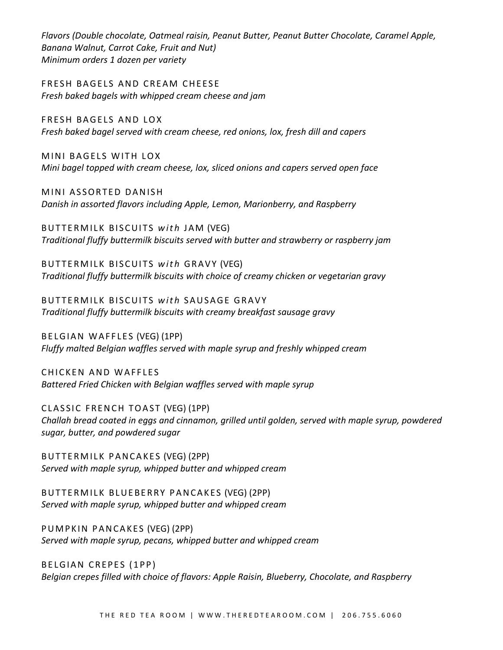*Flavors (Double chocolate, Oatmeal raisin, Peanut Butter, Peanut Butter Chocolate, Caramel Apple, Banana Walnut, Carrot Cake, Fruit and Nut) Minimum orders 1 dozen per variety*

FRESH BAGELS AND CREAM CHEESE *Fresh baked bagels with whipped cream cheese and jam*

FRESH BAGELS AND LOX *Fresh baked bagel served with cream cheese, red onions, lox, fresh dill and capers*

MINI BAGELS WITH LOX *Mini bagel topped with cream cheese, lox, sliced onions and capers served open face*

MINI ASSORTED DANISH *Danish in assorted flavors including Apple, Lemon, Marionberry, and Raspberry*

BUTTERMILK BISCUITS *with* JAM (VEG) *Traditional fluffy buttermilk biscuits served with butter and strawberry or raspberry jam*

BUTTERMILK BISCUITS *with* GRAVY (VEG) *Traditional fluffy buttermilk biscuits with choice of creamy chicken or vegetarian gravy*

BUTTERMILK BISCUITS *with* SAUSAGE GRAVY *Traditional fluffy buttermilk biscuits with creamy breakfast sausage gravy*

BELGIAN WAFFLES (VEG) (1PP) *Fluffy malted Belgian waffles served with maple syrup and freshly whipped cream*

CHICKEN AND WAFFLES *Battered Fried Chicken with Belgian waffles served with maple syrup*

CLASSIC FRENCH TOAST (VEG) (1PP) *Challah bread coated in eggs and cinnamon, grilled until golden, served with maple syrup, powdered sugar, butter, and powdered sugar*

BUTTERMILK PANCAKES (VEG) (2PP) *Served with maple syrup, whipped butter and whipped cream*

BUTTERMILK BLUEBERRY PANCAKES (VEG) (2PP) *Served with maple syrup, whipped butter and whipped cream*

PUMPKIN PANCAKES (VEG) (2PP) *Served with maple syrup, pecans, whipped butter and whipped cream*

BELGIAN CREPES (1PP) *Belgian crepes filled with choice of flavors: Apple Raisin, Blueberry, Chocolate, and Raspberry*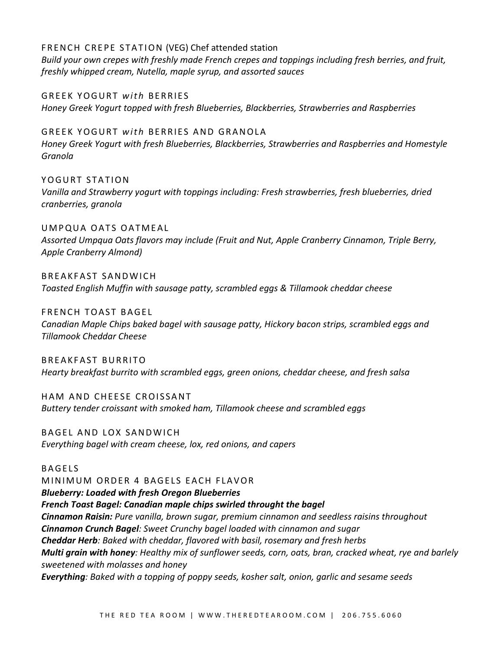FRENCH CREPE STATION (VEG) Chef attended station

*Build your own crepes with freshly made French crepes and toppings including fresh berries, and fruit, freshly whipped cream, Nutella, maple syrup, and assorted sauces*

GREEK YOGURT *with* BERRIES *Honey Greek Yogurt topped with fresh Blueberries, Blackberries, Strawberries and Raspberries*

GREEK YOGURT *with* BERRIES AND GRANOLA *Honey Greek Yogurt with fresh Blueberries, Blackberries, Strawberries and Raspberries and Homestyle Granola*

YOGURT STATION *Vanilla and Strawberry yogurt with toppings including: Fresh strawberries, fresh blueberries, dried cranberries, granola*

UMPQUA OATS OATMEAL *Assorted Umpqua Oats flavors may include (Fruit and Nut, Apple Cranberry Cinnamon, Triple Berry, Apple Cranberry Almond)*

BREAKFAST SANDWICH *Toasted English Muffin with sausage patty, scrambled eggs & Tillamook cheddar cheese*

FRENCH TOAST BAGEL *Canadian Maple Chips baked bagel with sausage patty, Hickory bacon strips, scrambled eggs and Tillamook Cheddar Cheese*

BREAKFAST BURRITO *Hearty breakfast burrito with scrambled eggs, green onions, cheddar cheese, and fresh salsa*

HAM AND CHEESE CROISSANT *Buttery tender croissant with smoked ham, Tillamook cheese and scrambled eggs*

BAGEL AND LOX SANDWICH *Everything bagel with cream cheese, lox, red onions, and capers*

BAGELS

MINIMUM ORDER 4 BAGELS EACH FLAVOR

*Blueberry: Loaded with fresh Oregon Blueberries*

*French Toast Bagel: Canadian maple chips swirled throught the bagel*

*Cinnamon Raisin: Pure vanilla, brown sugar, premium cinnamon and seedless raisins throughout Cinnamon Crunch Bagel: Sweet Crunchy bagel loaded with cinnamon and sugar Cheddar Herb: Baked with cheddar, flavored with basil, rosemary and fresh herbs Multi grain with honey: Healthy mix of sunflower seeds, corn, oats, bran, cracked wheat, rye and barlely sweetened with molasses and honey Everything: Baked with a topping of poppy seeds, kosher salt, onion, garlic and sesame seeds*